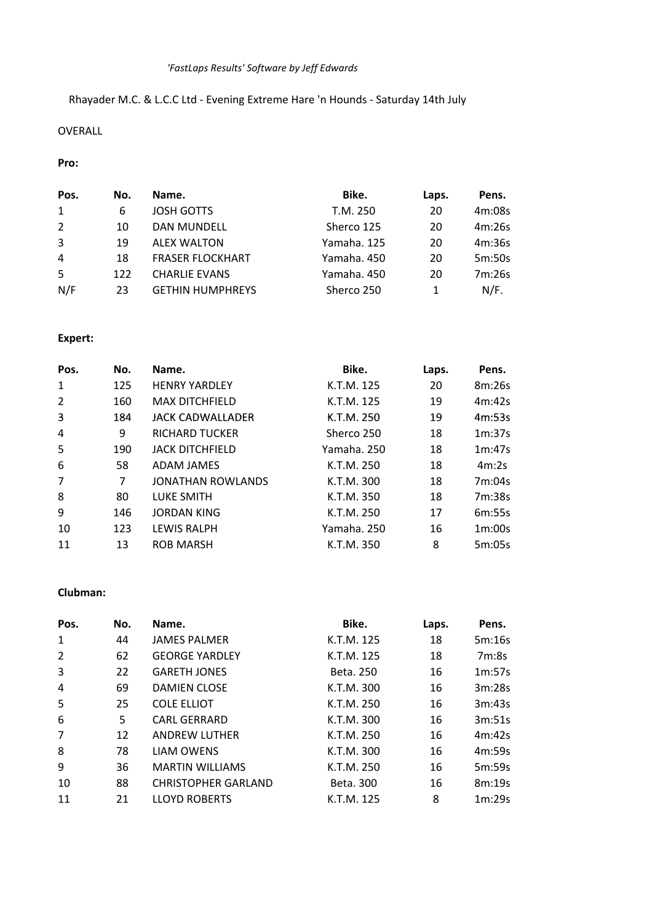# *'FastLaps Results' Software by Jeff Edwards*

# Rhayader M.C. & L.C.C Ltd - Evening Extreme Hare 'n Hounds - Saturday 14th July

## OVERALL

## **Pro:**

| Pos. | No. | Name.                   | Bike.       | Laps. | Pens.  |
|------|-----|-------------------------|-------------|-------|--------|
| 1    | 6   | <b>JOSH GOTTS</b>       | T.M. 250    | 20    | 4m:08s |
| 2    | 10  | <b>DAN MUNDELL</b>      | Sherco 125  | 20    | 4m:26s |
| 3    | 19  | <b>ALEX WALTON</b>      | Yamaha, 125 | 20    | 4m:36s |
| 4    | 18  | <b>FRASER FLOCKHART</b> | Yamaha, 450 | 20    | 5m:50s |
| -5   | 122 | <b>CHARLIE EVANS</b>    | Yamaha, 450 | 20    | 7m:26s |
| N/F  | 23  | <b>GETHIN HUMPHREYS</b> | Sherco 250  |       | N/F.   |

## **Expert:**

| Pos.           | No. | Name.                    | Bike.       | Laps. | Pens.  |
|----------------|-----|--------------------------|-------------|-------|--------|
| 1              | 125 | <b>HENRY YARDLEY</b>     | K.T.M. 125  | 20    | 8m:26s |
| $\overline{2}$ | 160 | <b>MAX DITCHFIELD</b>    | K.T.M. 125  | 19    | 4m:42s |
| 3              | 184 | JACK CADWALLADER         | K.T.M. 250  | 19    | 4m:53s |
| 4              | 9   | <b>RICHARD TUCKER</b>    | Sherco 250  | 18    | 1m:37s |
| 5              | 190 | <b>JACK DITCHFIELD</b>   | Yamaha. 250 | 18    | 1m:47s |
| 6              | 58  | ADAM JAMES               | K.T.M. 250  | 18    | 4m:2s  |
| 7              | 7   | <b>JONATHAN ROWLANDS</b> | K.T.M. 300  | 18    | 7m:04s |
| 8              | 80  | LUKE SMITH               | K.T.M. 350  | 18    | 7m:38s |
| 9              | 146 | <b>JORDAN KING</b>       | K.T.M. 250  | 17    | 6m:55s |
| 10             | 123 | <b>LEWIS RALPH</b>       | Yamaha. 250 | 16    | 1m:00s |
| 11             | 13  | <b>ROB MARSH</b>         | K.T.M. 350  | 8     | 5m:05s |

#### **Clubman:**

| Pos.           | No. | Name.                      | Bike.      | Laps. | Pens.  |
|----------------|-----|----------------------------|------------|-------|--------|
| 1              | 44  | <b>JAMES PALMER</b>        | K.T.M. 125 | 18    | 5m:16s |
| $\overline{2}$ | 62  | <b>GEORGE YARDLEY</b>      | K.T.M. 125 | 18    | 7m:8s  |
| 3              | 22  | <b>GARETH JONES</b>        | Beta, 250  | 16    | 1m:57s |
| 4              | 69  | <b>DAMIEN CLOSE</b>        | K.T.M. 300 | 16    | 3m:28s |
| 5              | 25  | <b>COLE ELLIOT</b>         | K.T.M. 250 | 16    | 3m:43s |
| 6              | 5   | <b>CARL GERRARD</b>        | K.T.M. 300 | 16    | 3m:51s |
| $\overline{7}$ | 12  | <b>ANDREW LUTHER</b>       | K.T.M. 250 | 16    | 4m:42s |
| 8              | 78  | <b>LIAM OWENS</b>          | K.T.M. 300 | 16    | 4m:59s |
| 9              | 36  | <b>MARTIN WILLIAMS</b>     | K.T.M. 250 | 16    | 5m:59s |
| 10             | 88  | <b>CHRISTOPHER GARLAND</b> | Beta, 300  | 16    | 8m:19s |
| 11             | 21  | <b>LLOYD ROBERTS</b>       | K.T.M. 125 | 8     | 1m:29s |